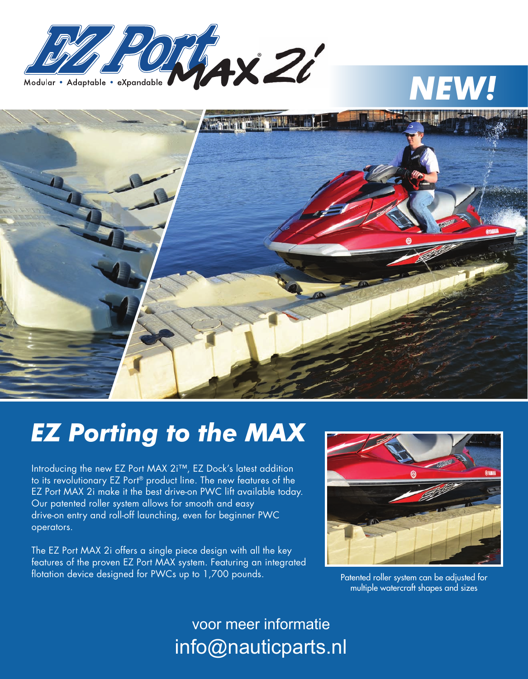

## *NEW!*



## *EZ Porting to the MAX*

Introducing the new EZ Port MAX 2i™, EZ Dock's latest addition to its revolutionary EZ Port® product line. The new features of the EZ Port MAX 2i make it the best drive-on PWC lift available today. Our patented roller system allows for smooth and easy drive-on entry and roll-off launching, even for beginner PWC operators.

The EZ Port MAX 2i offers a single piece design with all the key features of the proven EZ Port MAX system. Featuring an integrated flotation device designed for PWCs up to 1,700 pounds.



Patented roller system can be adjusted for multiple watercraft shapes and sizes

voor meer informatie info@nauticparts.nl